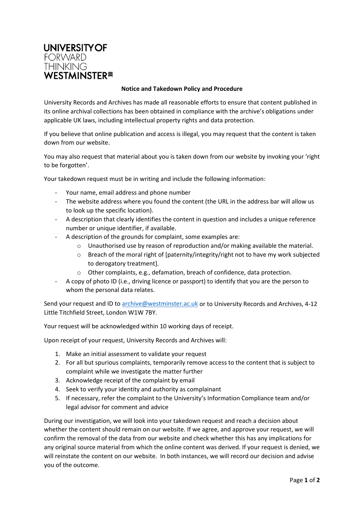

## **Notice and Takedown Policy and Procedure**

University Records and Archives has made all reasonable efforts to ensure that content published in its online archival collections has been obtained in compliance with the archive's obligations under applicable UK laws, including intellectual property rights and data protection.

If you believe that online publication and access is illegal, you may request that the content is taken down from our website.

You may also request that material about you is taken down from our website by invoking your 'right to be forgotten'.

Your takedown request must be in writing and include the following information:

- Your name, email address and phone number
- The website address where you found the content (the URL in the address bar will allow us to look up the specific location).
- A description that clearly identifies the content in question and includes a unique reference number or unique identifier, if available.
- A description of the grounds for complaint, some examples are:
	- o Unauthorised use by reason of reproduction and/or making available the material.
	- $\circ$  Breach of the moral right of [paternity/integrity/right not to have my work subjected to derogatory treatment].
	- o Other complaints, e.g., defamation, breach of confidence, data protection.
- A copy of photo ID (i.e., driving licence or passport) to identify that you are the person to whom the personal data relates.

Send your request and ID t[o archive@westminster.ac.uk](mailto:archive@westminster.ac.uk) or to University Records and Archives, 4-12 Little Titchfield Street, London W1W 7BY.

Your request will be acknowledged within 10 working days of receipt.

Upon receipt of your request, University Records and Archives will:

- 1. Make an initial assessment to validate your request
- 2. For all but spurious complaints, temporarily remove access to the content that is subject to complaint while we investigate the matter further
- 3. Acknowledge receipt of the complaint by email
- 4. Seek to verify your identity and authority as complainant
- 5. If necessary, refer the complaint to the University's Information Compliance team and/or legal advisor for comment and advice

During our investigation, we will look into your takedown request and reach a decision about whether the content should remain on our website. If we agree, and approve your request, we will confirm the removal of the data from our website and check whether this has any implications for any original source material from which the online content was derived. If your request is denied, we will reinstate the content on our website. In both instances, we will record our decision and advise you of the outcome.